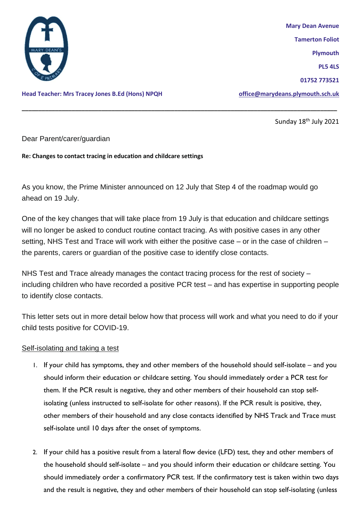

**Head Teacher: Mrs Tracey Jones B.Ed (Hons) NPQH [office@marydeans.plymouth.sch.uk](mailto:office@marydeans.plymouth.sch.uk)**

**Mary Dean Avenue Tamerton Foliot Plymouth PL5 4LS 01752 773521**

Sunday 18<sup>th</sup> July 2021

## Dear Parent/carer/guardian

**Re: Changes to contact tracing in education and childcare settings**

As you know, the Prime Minister announced on 12 July that Step 4 of the roadmap would go ahead on 19 July.

**\_\_\_\_\_\_\_\_\_\_\_\_\_\_\_\_\_\_\_\_\_\_\_\_\_\_\_\_\_\_\_\_\_\_\_\_\_\_\_\_\_\_\_\_\_\_\_\_\_\_\_\_\_\_\_\_\_\_\_\_\_\_\_\_\_\_\_\_\_\_\_\_\_\_\_\_\_\_\_\_\_\_\_\_\_\_\_\_\_\_\_\_\_\_\_**

One of the key changes that will take place from 19 July is that education and childcare settings will no longer be asked to conduct routine contact tracing. As with positive cases in any other setting, NHS Test and Trace will work with either the positive case – or in the case of children – the parents, carers or guardian of the positive case to identify close contacts.

NHS Test and Trace already manages the contact tracing process for the rest of society – including children who have recorded a positive PCR test – and has expertise in supporting people to identify close contacts.

This letter sets out in more detail below how that process will work and what you need to do if your child tests positive for COVID-19.

## Self-isolating and taking a test

- 1. If your child has symptoms, they and other members of the household should self-isolate and you should inform their education or childcare setting. You should immediately order a PCR test for them. If the PCR result is negative, they and other members of their household can stop selfisolating (unless instructed to self-isolate for other reasons). If the PCR result is positive, they, other members of their household and any close contacts identified by NHS Track and Trace must self-isolate until 10 days after the onset of symptoms.
- 2. If your child has a positive result from a lateral flow device (LFD) test, they and other members of the household should self-isolate – and you should inform their education or childcare setting. You should immediately order a confirmatory PCR test. If the confirmatory test is taken within two days and the result is negative, they and other members of their household can stop self-isolating (unless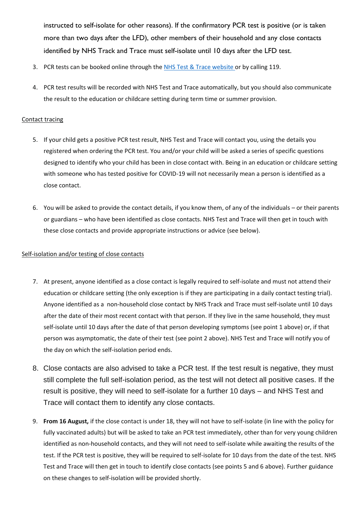instructed to self-isolate for other reasons). If the confirmatory PCR test is positive (or is taken more than two days after the LFD), other members of their household and any close contacts identified by NHS Track and Trace must self-isolate until 10 days after the LFD test.

- 3. PCR tests can be booked online through the [NHS Test & Trace website](https://www.nhs.uk/conditions/coronavirus-covid-19/testing/) or by calling 119.
- 4. PCR test results will be recorded with NHS Test and Trace automatically, but you should also communicate the result to the education or childcare setting during term time or summer provision.

## Contact tracing

- 5. If your child gets a positive PCR test result, NHS Test and Trace will contact you, using the details you registered when ordering the PCR test. You and/or your child will be asked a series of specific questions designed to identify who your child has been in close contact with. Being in an education or childcare setting with someone who has tested positive for COVID-19 will not necessarily mean a person is identified as a close contact.
- 6. You will be asked to provide the contact details, if you know them, of any of the individuals or their parents or guardians – who have been identified as close contacts. NHS Test and Trace will then get in touch with these close contacts and provide appropriate instructions or advice (see below).

## Self-isolation and/or testing of close contacts

- 7. At present, anyone identified as a close contact is legally required to self-isolate and must not attend their education or childcare setting (the only exception is if they are participating in a daily contact testing trial). Anyone identified as a non-household close contact by NHS Track and Trace must self-isolate until 10 days after the date of their most recent contact with that person. If they live in the same household, they must self-isolate until 10 days after the date of that person developing symptoms (see point 1 above) or, if that person was asymptomatic, the date of their test (see point 2 above). NHS Test and Trace will notify you of the day on which the self-isolation period ends.
- 8. Close contacts are also advised to take a PCR test. If the test result is negative, they must still complete the full self-isolation period, as the test will not detect all positive cases. If the result is positive, they will need to self-isolate for a further 10 days – and NHS Test and Trace will contact them to identify any close contacts.
- 9. **From 16 August,** if the close contact is under 18, they will not have to self-isolate (in line with the policy for fully vaccinated adults) but will be asked to take an PCR test immediately, other than for very young children identified as non-household contacts, and they will not need to self-isolate while awaiting the results of the test. If the PCR test is positive, they will be required to self-isolate for 10 days from the date of the test. NHS Test and Trace will then get in touch to identify close contacts (see points 5 and 6 above). Further guidance on these changes to self-isolation will be provided shortly.